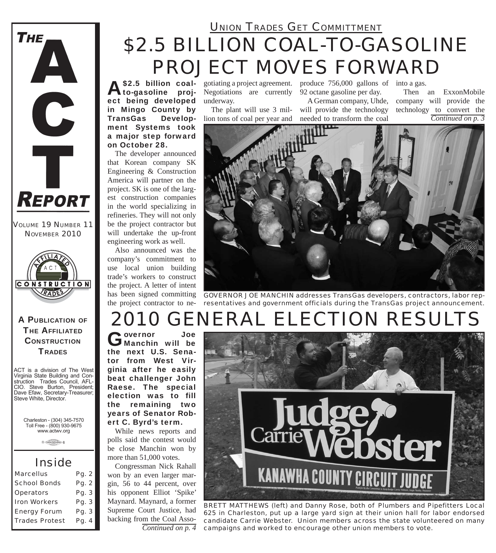

*VOLUME 19 NUMBER 11 NOVEMBER 2010*



#### A PUBLICATION OF **THE AFFILIATED CONSTRUCTION TRADES**

ACT is a division of The West Virginia State Building and Construction Trades Council, AFL-CIO. Steve Burton, President; Dave Efaw, Secretary-Treasurer; Steve White, Director.

Charleston - (304) 345-7570 Toll Free - (800) 930-9675 www.actwv.org

 $A$  (TADES  $\frac{\text{maximize}}{\text{maximize}}$  6

### *Inside*

| <b>Marcellus</b>      | Pg. 2   |
|-----------------------|---------|
| <b>School Bonds</b>   | Pg. 2   |
| <b>Operators</b>      | Pg. 3   |
| <b>Iron Workers</b>   | Pg. 3   |
| <b>Energy Forum</b>   | Pq.3    |
| <b>Trades Protest</b> | Pg. $4$ |

### *\$2.5 BILLION COAL-TO-GASOLINE PROJECT MOVES FORWARD UNION TRADES GET COMMITTMENT*

A\$2.5 billion coal-<br>Ato-gasoline project being developed in Mingo County by TransGas Development Systems took a major step forward on October 28.

The developer announced that Korean company SK Engineering & Construction America will partner on the project. SK is one of the largest construction companies in the world specializing in refineries. They will not only be the project contractor but will undertake the up-front engineering work as well.

Also announced was the company's commitment to use local union building trade's workers to construct the project. A letter of intent has been signed committing the project contractor to ne-

Negotiations are currently 92 octane gasoline per day. underway.

The plant will use 3 million tons of coal per year and

gotiating a project agreement. produce 756,000 gallons of into a gas.

A German company, Uhde, will provide the technology needed to transform the coal

*Continued on p. 3* Then an ExxonMobile company will provide the technology to convert the



*GOVERNOR JOE MANCHIN addresses TransGas developers, contractors, labor representatives and government officials during the TransGas project announcement.*

# *2010 GENERAL ELECTION RESULTS*

Governor Joe<br>
Manchin will be the next U.S. Senator from West Virginia after he easily beat challenger John Raese. The special election was to fill the remaining two years of Senator Robert C. Byrd's term.

While news reports and polls said the contest would be close Manchin won by more than 51,000 votes.

Congressman Nick Rahall won by an even larger margin, 56 to 44 percent, over his opponent Elliot 'Spike' Maynard. Maynard, a former Supreme Court Justice, had backing from the Coal Asso-*Continued on p. 4*



*BRETT MATTHEWS (left) and Danny Rose, both of Plumbers and Pipefitters Local 625 in Charleston, put up a large yard sign at their union hall for labor endorsed candidate Carrie Webster. Union members across the state volunteered on many campaigns and worked to encourage other union members to vote.*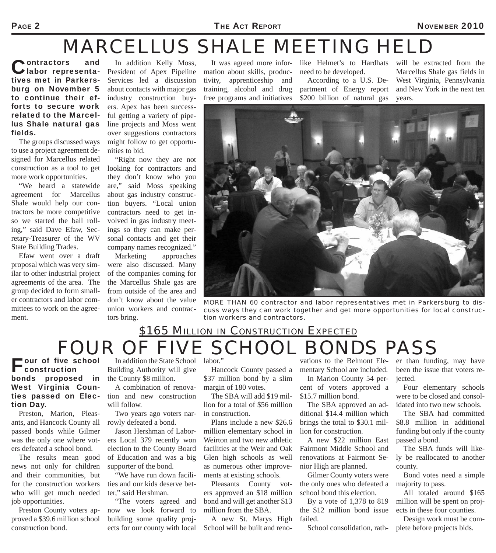#### PAGE 2 NOVEMBER 2010

## *MARCELLUS SHALE MEETING HELD*

Contractors and<br>
Ulabor representatives met in Parkersburg on November 5 to continue their efforts to secure work related to the Marcellus Shale natural gas fields.

The groups discussed ways to use a project agreement designed for Marcellus related construction as a tool to get more work opportunities.

"We heard a statewide agreement for Marcellus Shale would help our contractors be more competitive so we started the ball rolling," said Dave Efaw, Secretary-Treasurer of the WV State Building Trades.

Efaw went over a draft proposal which was very similar to other industrial project agreements of the area. The group decided to form smaller contractors and labor committees to work on the agreement.

In addition Kelly Moss, President of Apex Pipeline Services led a discussion about contacts with major gas industry construction buyers. Apex has been successful getting a variety of pipeline projects and Moss went over suggestions contractors might follow to get opportunities to bid.

"Right now they are not looking for contractors and they don't know who you are," said Moss speaking about gas industry construction buyers. "Local union contractors need to get involved in gas industry meetings so they can make personal contacts and get their company names recognized."

Marketing approaches were also discussed. Many of the companies coming for the Marcellus Shale gas are from outside of the area and don't know about the value union workers and contractors bring.

It was agreed more information about skills, productivity, apprenticeship and training, alcohol and drug free programs and initiatives

like Helmet's to Hardhats need to be developed.

According to a U.S. Department of Energy report \$200 billion of natural gas

will be extracted from the Marcellus Shale gas fields in West Virginia, Pennsylvania and New York in the next ten years.



*MORE THAN 60 contractor and labor representatives met in Parkersburg to discuss ways they can work together and get more opportunities for local construction workers and contractors.*

### *FOUR OF FIVE SCHOOL BONDS PASS \$165 MILLION IN CONSTRUCTION EXPECTED*

our of five school construction bonds proposed in West Virginia Counties passed on Election Day.

Preston, Marion, Pleasants, and Hancock County all passed bonds while Gilmer was the only one where voters defeated a school bond.

The results mean good news not only for children and their communities, but for the construction workers who will get much needed job opportunities.

Preston County voters approved a \$39.6 million school construction bond.

In addition the State School labor." Building Authority will give the County \$8 million.

A combination of renovation and new construction will follow.

Two years ago voters narrowly defeated a bond.

Jason Hershman of Laborers Local 379 recently won election to the County Board of Education and was a big supporter of the bond.

"We have run down facilities and our kids deserve better," said Hershman.

"The voters agreed and now we look forward to building some quality projects for our county with local

Hancock County passed a \$37 million bond by a slim margin of 180 votes.

The SBA will add \$19 million for a total of \$56 million in construction.

Plans include a new \$26.6 million elementary school in Weirton and two new athletic facilities at the Weir and Oak Glen high schools as well as numerous other improvements at existing schools.

Pleasants County voters approved an \$18 million bond and will get another \$13 million from the SBA.

A new St. Marys High School will be built and reno-

vations to the Belmont Elementary School are included.

In Marion County 54 percent of voters approved a \$15.7 million bond.

The SBA approved an additional \$14.4 million which brings the total to \$30.1 million for construction.

A new \$22 million East Fairmont Middle School and renovations at Fairmont Senior High are planned.

Gilmer County voters were the only ones who defeated a school bond this election.

By a vote of 1,378 to 819 the \$12 million bond issue failed.

er than funding, may have been the issue that voters rejected.

Four elementary schools were to be closed and consolidated into two new schools.

The SBA had committed \$8.8 million in additional funding but only if the county passed a bond.

The SBA funds will likely be reallocated to another county.

Bond votes need a simple majority to pass.

All totaled around \$165 million will be spent on projects in these four counties.

School consolidation, rath-<br>plete before projects bids. Design work must be com-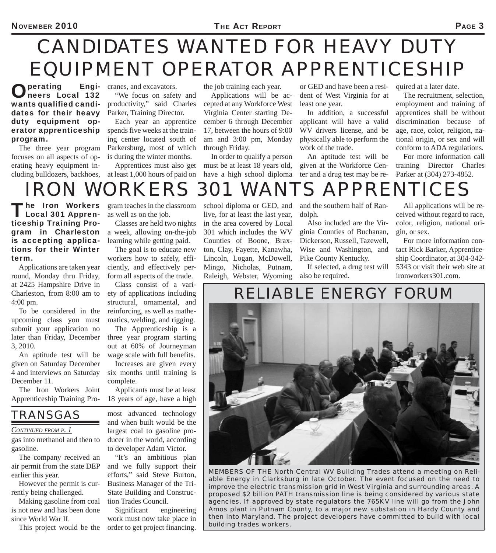# *CANDIDATES WANTED FOR HEAVY DUTY EQUIPMENT OPERATOR APPRENTICESHIP*

Operating Engi-neers Local 132 wants qualified candidates for their heavy duty equipment operator apprenticeship program.

The three year program focuses on all aspects of operating heavy equipment including bulldozers, backhoes,

**Engi-** cranes, and excavators. "We focus on safety and productivity," said Charles

> Parker, Training Director. Each year an apprentice spends five weeks at the training center located south of Parkersburg, most of which is during the winter months.

Apprentices must also get at least 1,000 hours of paid on

the job training each year.

Applications will be accepted at any Workforce West Virginia Center starting December 6 through December 17, between the hours of 9:00 am and 3:00 pm, Monday through Friday.

In order to qualify a person must be at least 18 years old, have a high school diploma

or GED and have been a resident of West Virginia for at least one year.

In addition, a successful applicant will have a valid WV drivers license, and be physically able to perform the work of the trade.

An aptitude test will be given at the Workforce Center and a drug test may be required at a later date.

The recruitment, selection, employment and training of apprentices shall be without discrimination because of age, race, color, religion, national origin, or sex and will conform to ADA regulations.

For more information call training Director Charles Parker at (304) 273-4852.

## *IRON WORKERS 301 WANTS APPRENTICES*

The Iron Workers<br>
Local 301 Apprenticeship Training Program in Charleston is accepting applications for their Winter term.

Applications are taken year round, Monday thru Friday, at 2425 Hampshire Drive in Charleston, from 8:00 am to 4:00 pm.

To be considered in the upcoming class you must submit your application no later than Friday, December 3, 2010.

An aptitude test will be given on Saturday December 4 and interviews on Saturday December 11.

The Iron Workers Joint Apprenticeship Training Program teaches in the classroom as well as on the job.

Classes are held two nights a week, allowing on-the-job learning while getting paid.

The goal is to educate new workers how to safely, efficiently, and effectively perform all aspects of the trade.

Class consist of a variety of applications including structural, ornamental, and reinforcing, as well as mathematics, welding, and rigging.

The Apprenticeship is a three year program starting out at 60% of Journeyman wage scale with full benefits.

Increases are given every six months until training is complete.

Applicants must be at least 18 years of age, have a high

*TRANSGAS* 

#### *CONTINUED FROM P. 1*

gas into methanol and then to gasoline.

The company received an air permit from the state DEP earlier this year.

However the permit is currently being challenged.

Making gasoline from coal is not new and has been done since World War II.

most advanced technology and when built would be the largest coal to gasoline producer in the world, according to developer Adam Victor.

"It's an ambitious plan and we fully support their efforts," said Steve Burton, Business Manager of the Tri-State Building and Construction Trades Council.

This project would be the order to get project financing. Significant engineering work must now take place in

school diploma or GED, and live, for at least the last year, in the area covered by Local 301 which includes the WV Counties of Boone, Braxton, Clay, Fayette, Kanawha, Lincoln, Logan, McDowell, Mingo, Nicholas, Putnam, Raleigh, Webster, Wyoming

and the southern half of Randolph.

Also included are the Virginia Counties of Buchanan, Dickerson, Russell, Tazewell, Wise and Washington, and Pike County Kentucky.

If selected, a drug test will also be required.

All applications will be received without regard to race, color, religion, national origin, or sex.

For more information contact Rick Barker, Apprenticeship Coordinator, at 304-342- 5343 or visit their web site at ironworkers301.com.

*RELIABLE ENERGY FORUM*



*MEMBERS OF THE North Central WV Building Trades attend a meeting on Reliable Energy in Clarksburg in late October. The event focused on the need to improve the electric transmission grid in West Virginia and surrounding areas. A proposed \$2 billion PATH transmission line is being considered by various state agencies. If approved by state regulators the 765KV line will go from the John Amos plant in Putnam County, to a major new substation in Hardy County and then into Maryland. The project developers have committed to build with local building trades workers.*